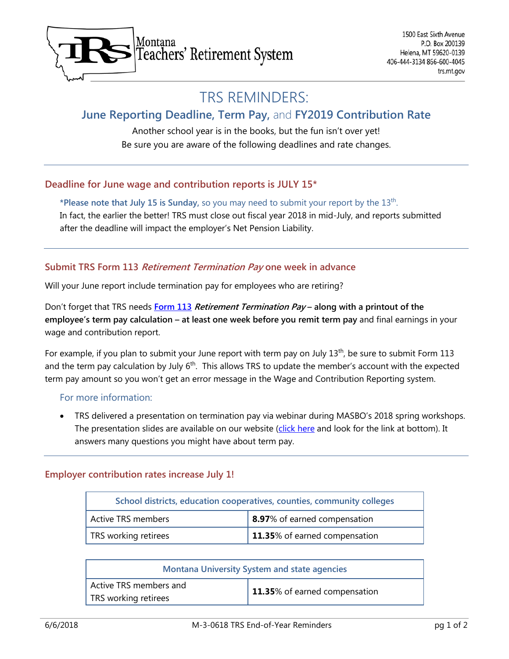

# TRS REMINDERS:

# **June Reporting Deadline, Term Pay,** and **FY2019 Contribution Rate**

Another school year is in the books, but the fun isn't over yet! Be sure you are aware of the following deadlines and rate changes.

## **Deadline for June wage and contribution reports is JULY 15\***

**\*Please note that July 15 is Sunday,** so you may need to submit your report by the 13th. In fact, the earlier the better! TRS must close out fiscal year 2018 in mid-July, and reports submitted after the deadline will impact the employer's Net Pension Liability.

## **Submit TRS Form 113 Retirement Termination Pay one week in advance**

Will your June report include termination pay for employees who are retiring?

Don't forget that TRS needs **[Form 113](https://trs.mt.gov/miscellaneous/PdfFiles/Forms/F-1-113-0317.pdf) Retirement Termination Pay – along with a printout of the employee's term pay calculation – at least one week before you remit term pay** and final earnings in your wage and contribution report.

For example, if you plan to submit your June report with term pay on July  $13<sup>th</sup>$ , be sure to submit Form 113 and the term pay calculation by July 6<sup>th</sup>. This allows TRS to update the member's account with the expected term pay amount so you won't get an error message in the Wage and Contribution Reporting system.

#### For more information:

• TRS delivered a presentation on termination pay via webinar during MASBO's 2018 spring workshops. The presentation slides are available on our website [\(click here](https://trs.mt.gov/trs-info/Tutorials) and look for the link at bottom). It answers many questions you might have about term pay.

#### **Employer contribution rates increase July 1!**

| School districts, education cooperatives, counties, community colleges |                                     |
|------------------------------------------------------------------------|-------------------------------------|
| <b>Active TRS members</b>                                              | <b>8.97%</b> of earned compensation |
| TRS working retirees                                                   | 11.35% of earned compensation       |

| <b>Montana University System and state agencies</b> |                               |
|-----------------------------------------------------|-------------------------------|
| Active TRS members and                              | 11.35% of earned compensation |
| TRS working retirees                                |                               |